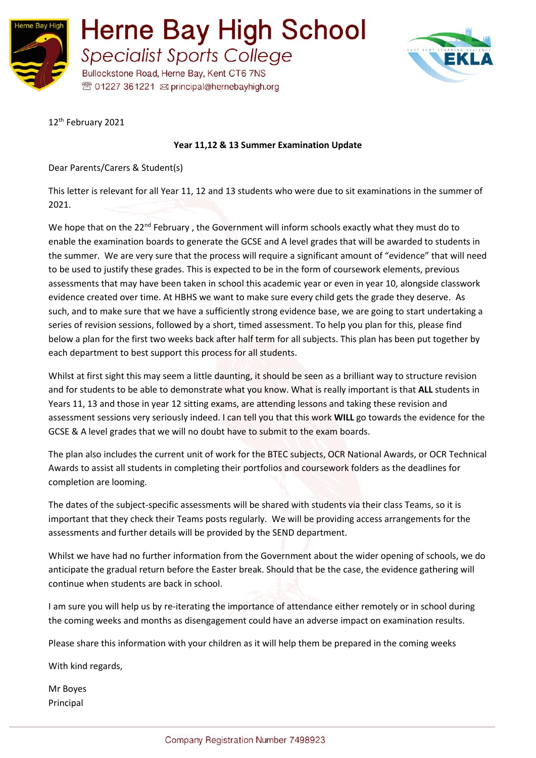



12<sup>th</sup> February 2021

#### **Year 11,12 & 13 Summer Examination Update**

Dear Parents/Carers & Student(s)

This letter is relevant for all Year 11, 12 and 13 students who were due to sit examinations in the summer of 2021.

We hope that on the 22<sup>nd</sup> February, the Government will inform schools exactly what they must do to enable the examination boards to generate the GCSE and A level grades that will be awarded to students in the summer. We are very sure that the process will require a significant amount of "evidence" that will need to be used to justify these grades. This is expected to be in the form of coursework elements, previous assessments that may have been taken in school this academic year or even in year 10, alongside classwork evidence created over time. At HBHS we want to make sure every child gets the grade they deserve. As such, and to make sure that we have a sufficiently strong evidence base, we are going to start undertaking a series of revision sessions, followed by a short, timed assessment. To help you plan for this, please find below a plan for the first two weeks back after half term for all subjects. This plan has been put together by each department to best support this process for all students.

Whilst at first sight this may seem a little daunting, it should be seen as a brilliant way to structure revision and for students to be able to demonstrate what you know. What is really important is that **ALL** students in Years 11, 13 and those in year 12 sitting exams, are attending lessons and taking these revision and assessment sessions very seriously indeed. I can tell you that this work **WILL** go towards the evidence for the GCSE & A level grades that we will no doubt have to submit to the exam boards.

The plan also includes the current unit of work for the BTEC subjects, OCR National Awards, or OCR Technical Awards to assist all students in completing their portfolios and coursework folders as the deadlines for completion are looming.

The dates of the subject-specific assessments will be shared with students via their class Teams, so it is important that they check their Teams posts regularly. We will be providing access arrangements for the assessments and further details will be provided by the SEND department.

Whilst we have had no further information from the Government about the wider opening of schools, we do anticipate the gradual return before the Easter break. Should that be the case, the evidence gathering will continue when students are back in school.

I am sure you will help us by re-iterating the importance of attendance either remotely or in school during the coming weeks and months as disengagement could have an adverse impact on examination results.

Please share this information with your children as it will help them be prepared in the coming weeks

With kind regards,

Mr Boyes Principal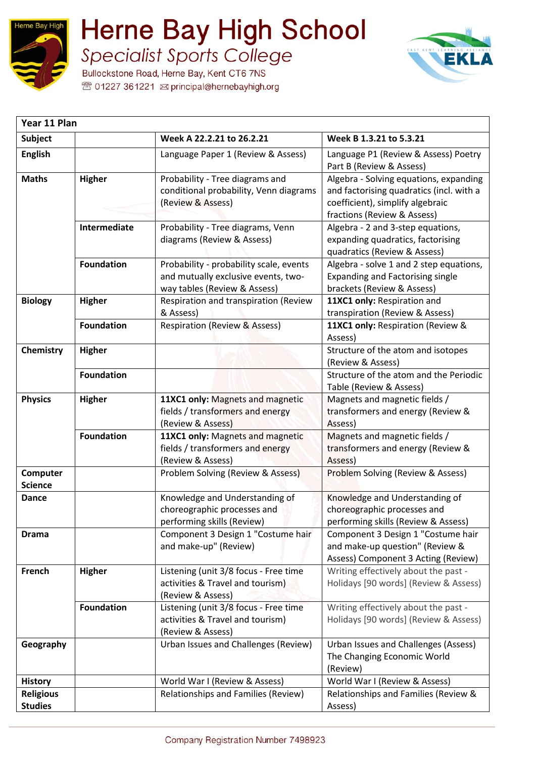

 $\overline{\phantom{a}}$ 

### **Herne Bay High School Specialist Sports College**

Bullockstone Road, Herne Bay, Kent CT6 7NS <sup>®</sup> 01227 361221 **⊠** principal@hernebayhigh.org



| Year 11 Plan                       |                   |                                                                                                                |                                                                                                                                                       |
|------------------------------------|-------------------|----------------------------------------------------------------------------------------------------------------|-------------------------------------------------------------------------------------------------------------------------------------------------------|
| <b>Subject</b>                     |                   | Week A 22.2.21 to 26.2.21                                                                                      | Week B 1.3.21 to 5.3.21                                                                                                                               |
| <b>English</b>                     |                   | Language Paper 1 (Review & Assess)                                                                             | Language P1 (Review & Assess) Poetry<br>Part B (Review & Assess)                                                                                      |
| <b>Maths</b>                       | <b>Higher</b>     | Probability - Tree diagrams and<br>conditional probability, Venn diagrams<br>(Review & Assess)                 | Algebra - Solving equations, expanding<br>and factorising quadratics (incl. with a<br>coefficient), simplify algebraic<br>fractions (Review & Assess) |
|                                    | Intermediate      | Probability - Tree diagrams, Venn<br>diagrams (Review & Assess)                                                | Algebra - 2 and 3-step equations,<br>expanding quadratics, factorising<br>quadratics (Review & Assess)                                                |
|                                    | <b>Foundation</b> | Probability - probability scale, events<br>and mutually exclusive events, two-<br>way tables (Review & Assess) | Algebra - solve 1 and 2 step equations,<br><b>Expanding and Factorising single</b><br>brackets (Review & Assess)                                      |
| <b>Biology</b>                     | <b>Higher</b>     | Respiration and transpiration (Review<br>& Assess)                                                             | 11XC1 only: Respiration and<br>transpiration (Review & Assess)                                                                                        |
|                                    | <b>Foundation</b> | <b>Respiration (Review &amp; Assess)</b>                                                                       | 11XC1 only: Respiration (Review &<br>Assess)                                                                                                          |
| Chemistry                          | <b>Higher</b>     |                                                                                                                | Structure of the atom and isotopes<br>(Review & Assess)                                                                                               |
|                                    | <b>Foundation</b> |                                                                                                                | Structure of the atom and the Periodic<br>Table (Review & Assess)                                                                                     |
| <b>Physics</b>                     | <b>Higher</b>     | 11XC1 only: Magnets and magnetic<br>fields / transformers and energy<br>(Review & Assess)                      | Magnets and magnetic fields /<br>transformers and energy (Review &<br>Assess)                                                                         |
|                                    | <b>Foundation</b> | 11XC1 only: Magnets and magnetic<br>fields / transformers and energy<br>(Review & Assess)                      | Magnets and magnetic fields /<br>transformers and energy (Review &<br>Assess)                                                                         |
| Computer<br><b>Science</b>         |                   | Problem Solving (Review & Assess)                                                                              | Problem Solving (Review & Assess)                                                                                                                     |
| <b>Dance</b>                       |                   | Knowledge and Understanding of<br>choreographic processes and<br>performing skills (Review)                    | Knowledge and Understanding of<br>choreographic processes and<br>performing skills (Review & Assess)                                                  |
| <b>Drama</b>                       |                   | Component 3 Design 1 "Costume hair<br>and make-up" (Review)                                                    | Component 3 Design 1 "Costume hair<br>and make-up question" (Review &<br>Assess) Component 3 Acting (Review)                                          |
| French                             | <b>Higher</b>     | Listening (unit 3/8 focus - Free time<br>activities & Travel and tourism)<br>(Review & Assess)                 | Writing effectively about the past -<br>Holidays [90 words] (Review & Assess)                                                                         |
|                                    | <b>Foundation</b> | Listening (unit 3/8 focus - Free time<br>activities & Travel and tourism)<br>(Review & Assess)                 | Writing effectively about the past -<br>Holidays [90 words] (Review & Assess)                                                                         |
| Geography                          |                   | Urban Issues and Challenges (Review)                                                                           | Urban Issues and Challenges (Assess)<br>The Changing Economic World<br>(Review)                                                                       |
| <b>History</b>                     |                   | World War I (Review & Assess)                                                                                  | World War I (Review & Assess)                                                                                                                         |
| <b>Religious</b><br><b>Studies</b> |                   | Relationships and Families (Review)                                                                            | Relationships and Families (Review &<br>Assess)                                                                                                       |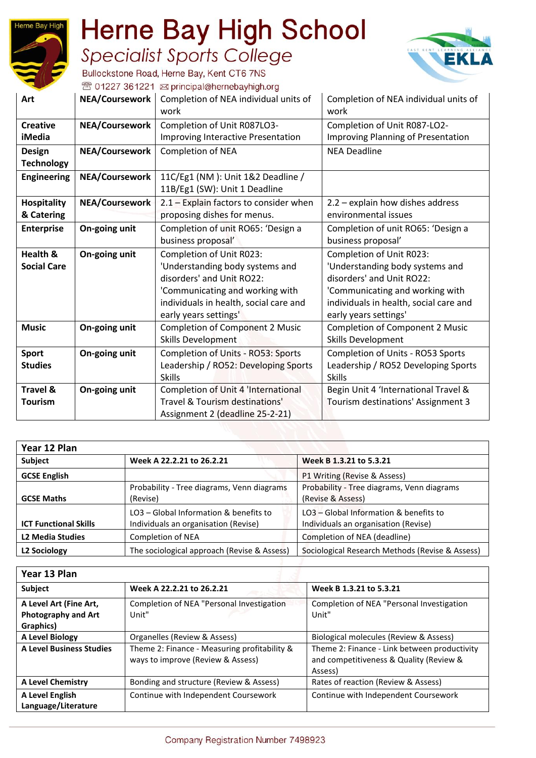

# **Herne Bay High School**

**Specialist Sports College** Bullockstone Road, Herne Bay, Kent CT6 7NS



<sup>®</sup> 01227 361221 **⊠** principal@hernebayhigh.org

| Art                 | <b>NEA/Coursework</b> | Completion of NEA individual units of<br>work | Completion of NEA individual units of<br>work |
|---------------------|-----------------------|-----------------------------------------------|-----------------------------------------------|
| <b>Creative</b>     | <b>NEA/Coursework</b> | Completion of Unit R087LO3-                   | Completion of Unit R087-LO2-                  |
| iMedia              |                       | Improving Interactive Presentation            | <b>Improving Planning of Presentation</b>     |
| <b>Design</b>       | <b>NEA/Coursework</b> | <b>Completion of NEA</b>                      | <b>NEA Deadline</b>                           |
| <b>Technology</b>   |                       |                                               |                                               |
| <b>Engineering</b>  | <b>NEA/Coursework</b> | 11C/Eg1 (NM): Unit 1&2 Deadline /             |                                               |
|                     |                       | 11B/Eg1 (SW): Unit 1 Deadline                 |                                               |
| <b>Hospitality</b>  | NEA/Coursework        | 2.1 - Explain factors to consider when        | 2.2 - explain how dishes address              |
| & Catering          |                       | proposing dishes for menus.                   | environmental issues                          |
| <b>Enterprise</b>   | On-going unit         | Completion of unit RO65: 'Design a            | Completion of unit RO65: 'Design a            |
|                     |                       | business proposal'                            | business proposal'                            |
| Health &            | On-going unit         | Completion of Unit R023:                      | Completion of Unit R023:                      |
| <b>Social Care</b>  |                       | 'Understanding body systems and               | 'Understanding body systems and               |
|                     |                       | disorders' and Unit RO22:                     | disorders' and Unit RO22:                     |
|                     |                       | 'Communicating and working with               | 'Communicating and working with               |
|                     |                       | individuals in health, social care and        | individuals in health, social care and        |
|                     |                       | early years settings'                         | early years settings'                         |
| <b>Music</b>        | On-going unit         | <b>Completion of Component 2 Music</b>        | <b>Completion of Component 2 Music</b>        |
|                     |                       | Skills Development                            | Skills Development                            |
| <b>Sport</b>        | On-going unit         | Completion of Units - RO53: Sports            | Completion of Units - RO53 Sports             |
| <b>Studies</b>      |                       | Leadership / RO52: Developing Sports          | Leadership / RO52 Developing Sports           |
|                     |                       | <b>Skills</b>                                 | <b>Skills</b>                                 |
| <b>Travel &amp;</b> | On-going unit         | Completion of Unit 4 'International           | Begin Unit 4 'International Travel &          |
| Tourism             |                       | Travel & Tourism destinations'                | Tourism destinations' Assignment 3            |
|                     |                       | Assignment 2 (deadline 25-2-21)               |                                               |

| Year 12 Plan                 |                                                                                |                                                                                |  |  |
|------------------------------|--------------------------------------------------------------------------------|--------------------------------------------------------------------------------|--|--|
| Subject                      | Week A 22.2.21 to 26.2.21                                                      | Week B 1.3.21 to 5.3.21                                                        |  |  |
| <b>GCSE English</b>          |                                                                                | P1 Writing (Revise & Assess)                                                   |  |  |
| <b>GCSE Maths</b>            | Probability - Tree diagrams, Venn diagrams<br>(Revise)                         | Probability - Tree diagrams, Venn diagrams<br>(Revise & Assess)                |  |  |
| <b>ICT Functional Skills</b> | LO3 – Global Information & benefits to<br>Individuals an organisation (Revise) | LO3 - Global Information & benefits to<br>Individuals an organisation (Revise) |  |  |
| <b>L2 Media Studies</b>      | <b>Completion of NEA</b>                                                       | Completion of NEA (deadline)                                                   |  |  |
| L2 Sociology                 | The sociological approach (Revise & Assess)                                    | Sociological Research Methods (Revise & Assess)                                |  |  |

| Year 13 Plan                                                      |                                                                                   |                                                                                                    |  |  |
|-------------------------------------------------------------------|-----------------------------------------------------------------------------------|----------------------------------------------------------------------------------------------------|--|--|
| <b>Subject</b>                                                    | Week A 22.2.21 to 26.2.21                                                         | Week B 1.3.21 to 5.3.21                                                                            |  |  |
| A Level Art (Fine Art,<br><b>Photography and Art</b><br>Graphics) | Completion of NEA "Personal Investigation<br>Unit"                                | Completion of NEA "Personal Investigation<br>Unit"                                                 |  |  |
| A Level Biology                                                   | Organelles (Review & Assess)                                                      | Biological molecules (Review & Assess)                                                             |  |  |
| <b>A Level Business Studies</b>                                   | Theme 2: Finance - Measuring profitability &<br>ways to improve (Review & Assess) | Theme 2: Finance - Link between productivity<br>and competitiveness & Quality (Review &<br>Assess) |  |  |
| <b>A Level Chemistry</b>                                          | Bonding and structure (Review & Assess)                                           | Rates of reaction (Review & Assess)                                                                |  |  |
| A Level English<br>Language/Literature                            | Continue with Independent Coursework                                              | Continue with Independent Coursework                                                               |  |  |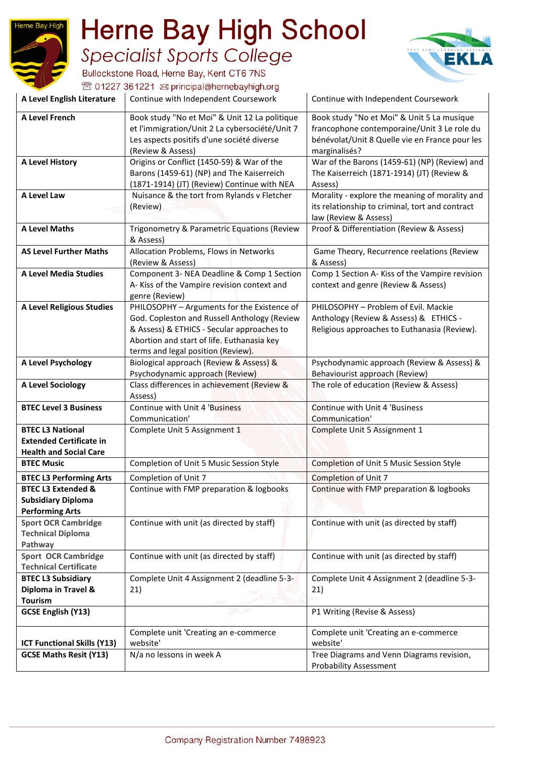## **Herne Bay High School Specialist Sports College**



Bullockstone Road, Herne Bay, Kent CT6 7NS <sup></sup> 01227 361221 <br>
sprincipal@hernebayhigh.org

Herne Bay High

| A Level English Literature                                                                 | Continue with Independent Coursework                                                                                                                                                                                          | Continue with Independent Coursework                                                                                                                         |
|--------------------------------------------------------------------------------------------|-------------------------------------------------------------------------------------------------------------------------------------------------------------------------------------------------------------------------------|--------------------------------------------------------------------------------------------------------------------------------------------------------------|
| <b>A Level French</b>                                                                      | Book study "No et Moi" & Unit 12 La politique<br>et l'immigration/Unit 2 La cybersociété/Unit 7<br>Les aspects positifs d'une société diverse<br>(Review & Assess)                                                            | Book study "No et Moi" & Unit 5 La musique<br>francophone contemporaine/Unit 3 Le role du<br>bénévolat/Unit 8 Quelle vie en France pour les<br>marginalisés? |
| <b>A Level History</b>                                                                     | Origins or Conflict (1450-59) & War of the<br>Barons (1459-61) (NP) and The Kaiserreich<br>(1871-1914) (JT) (Review) Continue with NEA                                                                                        | War of the Barons (1459-61) (NP) (Review) and<br>The Kaiserreich (1871-1914) (JT) (Review &<br>Assess)                                                       |
| A Level Law                                                                                | Nuisance & the tort from Rylands v Fletcher<br>(Review)                                                                                                                                                                       | Morality - explore the meaning of morality and<br>its relationship to criminal, tort and contract<br>law (Review & Assess)                                   |
| <b>A Level Maths</b>                                                                       | Trigonometry & Parametric Equations (Review<br>& Assess)                                                                                                                                                                      | Proof & Differentiation (Review & Assess)                                                                                                                    |
| <b>AS Level Further Maths</b>                                                              | Allocation Problems, Flows in Networks<br>(Review & Assess)                                                                                                                                                                   | Game Theory, Recurrence reelations (Review<br>& Assess)                                                                                                      |
| <b>A Level Media Studies</b>                                                               | Component 3- NEA Deadline & Comp 1 Section<br>A- Kiss of the Vampire revision context and<br>genre (Review)                                                                                                                   | Comp 1 Section A- Kiss of the Vampire revision<br>context and genre (Review & Assess)                                                                        |
| <b>A Level Religious Studies</b>                                                           | PHILOSOPHY - Arguments for the Existence of<br>God. Copleston and Russell Anthology (Review<br>& Assess) & ETHICS - Secular approaches to<br>Abortion and start of life. Euthanasia key<br>terms and legal position (Review). | PHILOSOPHY - Problem of Evil. Mackie<br>Anthology (Review & Assess) & ETHICS -<br>Religious approaches to Euthanasia (Review).                               |
| A Level Psychology                                                                         | Biological approach (Review & Assess) &<br>Psychodynamic approach (Review)                                                                                                                                                    | Psychodynamic approach (Review & Assess) &<br>Behaviourist approach (Review)                                                                                 |
| A Level Sociology                                                                          | Class differences in achievement (Review &<br>Assess)                                                                                                                                                                         | The role of education (Review & Assess)                                                                                                                      |
| <b>BTEC Level 3 Business</b>                                                               | Continue with Unit 4 'Business<br>Communication'                                                                                                                                                                              | Continue with Unit 4 'Business<br>Communication'                                                                                                             |
| <b>BTEC L3 National</b><br><b>Extended Certificate in</b><br><b>Health and Social Care</b> | Complete Unit 5 Assignment 1                                                                                                                                                                                                  | Complete Unit 5 Assignment 1                                                                                                                                 |
| <b>BTEC Music</b>                                                                          | Completion of Unit 5 Music Session Style                                                                                                                                                                                      | Completion of Unit 5 Music Session Style                                                                                                                     |
| <b>BTEC L3 Performing Arts</b>                                                             | Completion of Unit 7                                                                                                                                                                                                          | <b>Completion of Unit 7</b>                                                                                                                                  |
| <b>BTEC L3 Extended &amp;</b><br><b>Subsidiary Diploma</b><br><b>Performing Arts</b>       | Continue with FMP preparation & logbooks                                                                                                                                                                                      | Continue with FMP preparation & logbooks                                                                                                                     |
| <b>Sport OCR Cambridge</b><br><b>Technical Diploma</b><br>Pathway                          | Continue with unit (as directed by staff)                                                                                                                                                                                     | Continue with unit (as directed by staff)                                                                                                                    |
| <b>Sport OCR Cambridge</b><br><b>Technical Certificate</b>                                 | Continue with unit (as directed by staff)                                                                                                                                                                                     | Continue with unit (as directed by staff)                                                                                                                    |
| <b>BTEC L3 Subsidiary</b><br>Diploma in Travel &<br><b>Tourism</b>                         | Complete Unit 4 Assignment 2 (deadline 5-3-<br>21)                                                                                                                                                                            | Complete Unit 4 Assignment 2 (deadline 5-3-<br>21)                                                                                                           |
| <b>GCSE English (Y13)</b>                                                                  |                                                                                                                                                                                                                               | P1 Writing (Revise & Assess)                                                                                                                                 |
| <b>ICT Functional Skills (Y13)</b>                                                         | Complete unit 'Creating an e-commerce<br>website'                                                                                                                                                                             | Complete unit 'Creating an e-commerce<br>website'                                                                                                            |
| <b>GCSE Maths Resit (Y13)</b>                                                              | N/a no lessons in week A                                                                                                                                                                                                      | Tree Diagrams and Venn Diagrams revision,<br><b>Probability Assessment</b>                                                                                   |